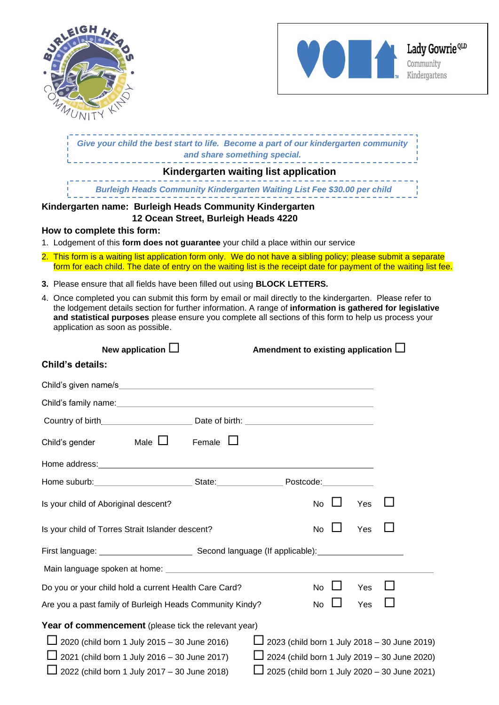



|                                                                                                                                                                                                                                | Give your child the best start to life. Become a part of our kindergarten community                                                                                                                                                                                                                                             |
|--------------------------------------------------------------------------------------------------------------------------------------------------------------------------------------------------------------------------------|---------------------------------------------------------------------------------------------------------------------------------------------------------------------------------------------------------------------------------------------------------------------------------------------------------------------------------|
|                                                                                                                                                                                                                                | Kindergarten waiting list application                                                                                                                                                                                                                                                                                           |
|                                                                                                                                                                                                                                |                                                                                                                                                                                                                                                                                                                                 |
| Kindergarten name: Burleigh Heads Community Kindergarten                                                                                                                                                                       |                                                                                                                                                                                                                                                                                                                                 |
| 12 Ocean Street, Burleigh Heads 4220<br>How to complete this form:                                                                                                                                                             |                                                                                                                                                                                                                                                                                                                                 |
| 1. Lodgement of this form does not guarantee your child a place within our service                                                                                                                                             |                                                                                                                                                                                                                                                                                                                                 |
|                                                                                                                                                                                                                                | 2. This form is a waiting list application form only. We do not have a sibling policy; please submit a separate<br>form for each child. The date of entry on the waiting list is the receipt date for payment of the waiting list fee.                                                                                          |
| 3. Please ensure that all fields have been filled out using <b>BLOCK LETTERS.</b>                                                                                                                                              |                                                                                                                                                                                                                                                                                                                                 |
| application as soon as possible.                                                                                                                                                                                               | 4. Once completed you can submit this form by email or mail directly to the kindergarten. Please refer to<br>the lodgement details section for further information. A range of information is gathered for legislative<br>and statistical purposes please ensure you complete all sections of this form to help us process your |
| New application $\Box$                                                                                                                                                                                                         | Amendment to existing application $\Box$                                                                                                                                                                                                                                                                                        |
| <b>Child's details:</b>                                                                                                                                                                                                        |                                                                                                                                                                                                                                                                                                                                 |
|                                                                                                                                                                                                                                |                                                                                                                                                                                                                                                                                                                                 |
|                                                                                                                                                                                                                                |                                                                                                                                                                                                                                                                                                                                 |
| Country of birth <b>Countries</b> Date of birth:                                                                                                                                                                               |                                                                                                                                                                                                                                                                                                                                 |
| Male $\Box$<br>Female $\Box$<br>Child's gender                                                                                                                                                                                 |                                                                                                                                                                                                                                                                                                                                 |
| Home address: Note and the set of the set of the set of the set of the set of the set of the set of the set of the set of the set of the set of the set of the set of the set of the set of the set of the set of the set of t |                                                                                                                                                                                                                                                                                                                                 |
| Home suburb: State: State: Postcode:                                                                                                                                                                                           |                                                                                                                                                                                                                                                                                                                                 |
| Is your child of Aboriginal descent?                                                                                                                                                                                           | No<br>Yes                                                                                                                                                                                                                                                                                                                       |
| Is your child of Torres Strait Islander descent?                                                                                                                                                                               | No<br>Yes                                                                                                                                                                                                                                                                                                                       |
|                                                                                                                                                                                                                                |                                                                                                                                                                                                                                                                                                                                 |
|                                                                                                                                                                                                                                |                                                                                                                                                                                                                                                                                                                                 |
| Do you or your child hold a current Health Care Card?                                                                                                                                                                          | No<br>Yes                                                                                                                                                                                                                                                                                                                       |
| Are you a past family of Burleigh Heads Community Kindy?                                                                                                                                                                       | No<br>Yes                                                                                                                                                                                                                                                                                                                       |
| Year of commencement (please tick the relevant year)<br>2020 (child born 1 July 2015 - 30 June 2016)                                                                                                                           | 2023 (child born 1 July 2018 - 30 June 2019)                                                                                                                                                                                                                                                                                    |
| 2021 (child born 1 July 2016 - 30 June 2017)                                                                                                                                                                                   | 2024 (child born 1 July 2019 - 30 June 2020)                                                                                                                                                                                                                                                                                    |
| 2022 (child born 1 July 2017 - 30 June 2018)                                                                                                                                                                                   | 2025 (child born 1 July 2020 - 30 June 2021)                                                                                                                                                                                                                                                                                    |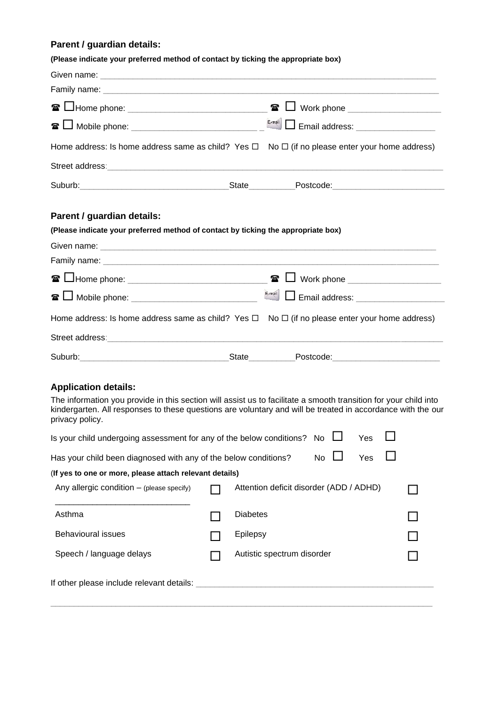# **Parent / guardian details:**

| (Please indicate your preferred method of contact by ticking the appropriate box)                                                                                                                                                                  |                 |                                         |    |     |                                      |
|----------------------------------------------------------------------------------------------------------------------------------------------------------------------------------------------------------------------------------------------------|-----------------|-----------------------------------------|----|-----|--------------------------------------|
| Given name: <u>contract and contract and contract and contract and contract and contract of the set of the set of the set of the set of the set of the set of the set of the set of the set of the set of the set of the set of </u>               |                 |                                         |    |     |                                      |
|                                                                                                                                                                                                                                                    |                 |                                         |    |     |                                      |
|                                                                                                                                                                                                                                                    |                 |                                         |    |     | □ Work phone ______________________  |
| <b>☎ □ Mobile phone:</b> ____________________________                                                                                                                                                                                              |                 |                                         |    |     |                                      |
| Home address: Is home address same as child? Yes $\Box$ No $\Box$ (if no please enter your home address)                                                                                                                                           |                 |                                         |    |     |                                      |
|                                                                                                                                                                                                                                                    |                 |                                         |    |     |                                      |
|                                                                                                                                                                                                                                                    |                 |                                         |    |     |                                      |
| Parent / guardian details:                                                                                                                                                                                                                         |                 |                                         |    |     |                                      |
| (Please indicate your preferred method of contact by ticking the appropriate box)                                                                                                                                                                  |                 |                                         |    |     |                                      |
|                                                                                                                                                                                                                                                    |                 |                                         |    |     |                                      |
|                                                                                                                                                                                                                                                    |                 |                                         |    |     |                                      |
|                                                                                                                                                                                                                                                    |                 | $\mathbf{r}$                            |    |     | ┛ Work phone _______________________ |
| $\mathbf{r}$ i                                                                                                                                                                                                                                     |                 | $E = mail$                              |    |     |                                      |
| Home address: Is home address same as child? Yes $\Box$ No $\Box$ (if no please enter your home address)                                                                                                                                           |                 |                                         |    |     |                                      |
|                                                                                                                                                                                                                                                    |                 |                                         |    |     |                                      |
|                                                                                                                                                                                                                                                    |                 | State Postcode: Postcode:               |    |     |                                      |
| <b>Application details:</b>                                                                                                                                                                                                                        |                 |                                         |    |     |                                      |
| The information you provide in this section will assist us to facilitate a smooth transition for your child into<br>kindergarten. All responses to these questions are voluntary and will be treated in accordance with the our<br>privacy policy. |                 |                                         |    |     |                                      |
| Is your child undergoing assessment for any of the below conditions?                                                                                                                                                                               |                 |                                         | No | Yes |                                      |
| Has your child been diagnosed with any of the below conditions?                                                                                                                                                                                    |                 |                                         | No | Yes |                                      |
| (If yes to one or more, please attach relevant details)                                                                                                                                                                                            |                 |                                         |    |     |                                      |
| Any allergic condition $-$ (please specify)                                                                                                                                                                                                        |                 | Attention deficit disorder (ADD / ADHD) |    |     |                                      |
| Asthma                                                                                                                                                                                                                                             | <b>Diabetes</b> |                                         |    |     |                                      |
| <b>Behavioural issues</b>                                                                                                                                                                                                                          | Epilepsy        |                                         |    |     |                                      |

\_\_\_\_\_\_\_\_\_\_\_\_\_\_\_\_\_\_\_\_\_\_\_\_\_\_\_\_\_\_\_\_\_\_\_\_\_\_\_\_\_\_\_\_\_\_\_\_\_\_\_\_\_\_\_\_\_\_\_\_\_\_\_\_\_\_\_\_\_\_\_\_\_\_\_\_\_\_\_\_\_\_

Speech / language delays **Autistic spectrum disorder CO** 

If other please include relevant details: \_\_\_\_\_\_\_\_\_\_\_\_\_\_\_\_\_\_\_\_\_\_\_\_\_\_\_\_\_\_\_\_\_\_\_\_\_\_\_\_\_\_\_\_\_\_\_\_\_\_\_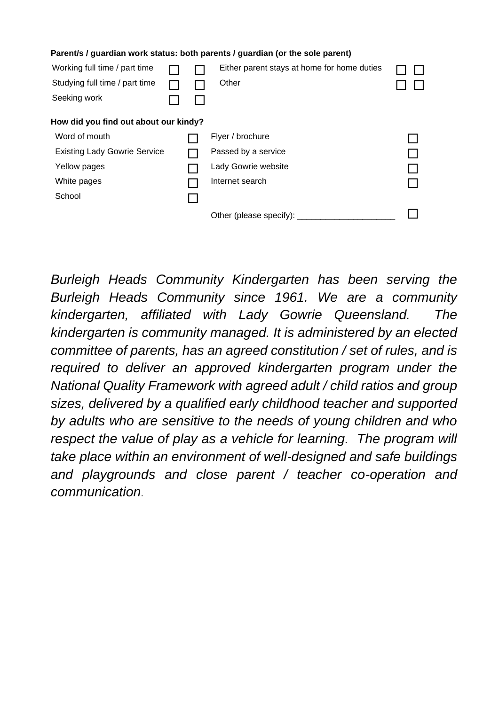| Parent/s / guardian work status: both parents / guardian (or the sole parent) |                                             |                                       |  |  |  |  |
|-------------------------------------------------------------------------------|---------------------------------------------|---------------------------------------|--|--|--|--|
|                                                                               | Either parent stays at home for home duties |                                       |  |  |  |  |
|                                                                               | Other                                       |                                       |  |  |  |  |
|                                                                               |                                             |                                       |  |  |  |  |
|                                                                               |                                             |                                       |  |  |  |  |
|                                                                               | Flyer / brochure                            |                                       |  |  |  |  |
|                                                                               | Passed by a service                         |                                       |  |  |  |  |
|                                                                               | Lady Gowrie website                         |                                       |  |  |  |  |
|                                                                               | Internet search                             |                                       |  |  |  |  |
|                                                                               |                                             |                                       |  |  |  |  |
|                                                                               | Other (please specify):                     |                                       |  |  |  |  |
|                                                                               |                                             | How did you find out about our kindy? |  |  |  |  |

*Burleigh Heads Community Kindergarten has been serving the Burleigh Heads Community since 1961. We are a community kindergarten, affiliated with Lady Gowrie Queensland. The kindergarten is community managed. It is administered by an elected committee of parents, has an agreed constitution / set of rules, and is*  required to deliver an approved kindergarten program under the *National Quality Framework with agreed adult / child ratios and group sizes, delivered by a qualified early childhood teacher and supported by adults who are sensitive to the needs of young children and who respect the value of play as a vehicle for learning. The program will take place within an environment of well-designed and safe buildings and playgrounds and close parent / teacher co-operation and communication*.